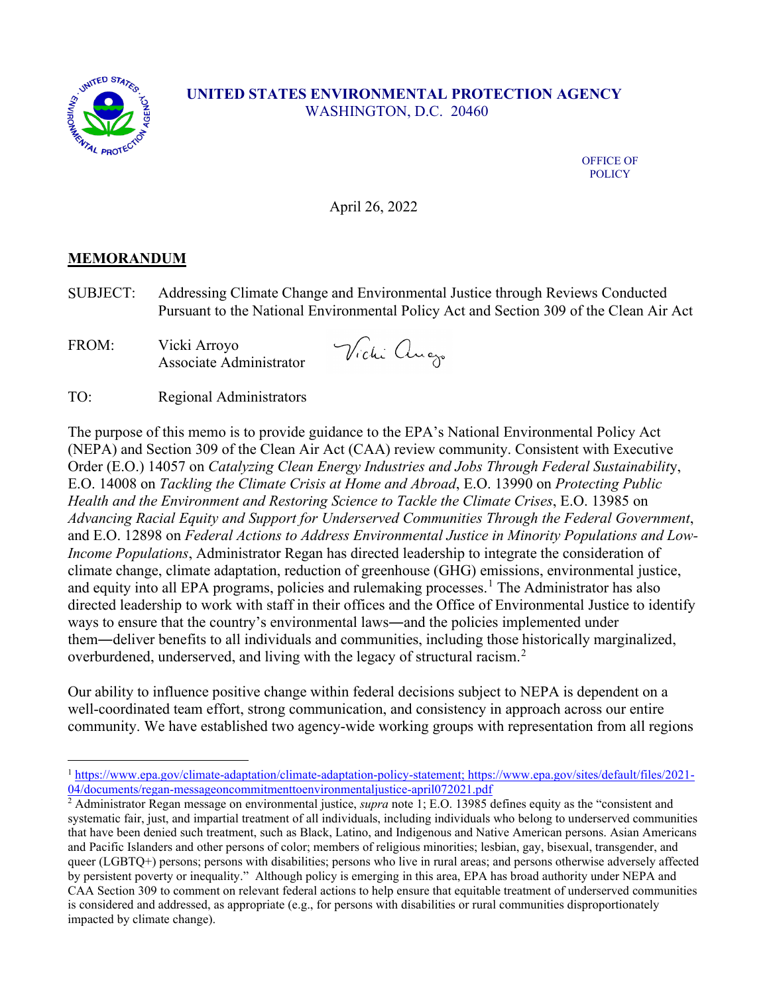

## **UNITED STATES ENVIRONMENTAL PROTECTION AGENCY** WASHINGTON, D.C. 20460

OFFICE OF POLICY

April 26, 2022

## **MEMORANDUM**

SUBJECT: Addressing Climate Change and Environmental Justice through Reviews Conducted Pursuant to the National Environmental Policy Act and Section 309 of the Clean Air Act

FROM: Vicki Arroyo Associate Administrator

Wichi augo

TO: Regional Administrators

The purpose of this memo is to provide guidance to the EPA's National Environmental Policy Act (NEPA) and Section 309 of the Clean Air Act (CAA) review community. Consistent with Executive Order (E.O.) 14057 on *Catalyzing Clean Energy Industries and Jobs Through Federal Sustainabilit*y, E.O. 14008 on *Tackling the Climate Crisis at Home and Abroad*, E.O. 13990 on *Protecting Public Health and the Environment and Restoring Science to Tackle the Climate Crises*, E.O. 13985 on *Advancing Racial Equity and Support for Underserved Communities Through the Federal Government*, and E.O. 12898 on *Federal Actions to Address Environmental Justice in Minority Populations and Low-Income Populations*, Administrator Regan has directed leadership to integrate the consideration of climate change, climate adaptation, reduction of greenhouse (GHG) emissions, environmental justice, and equity into all EPA programs, policies and rulemaking processes.<sup>[1](#page-0-0)</sup> The Administrator has also directed leadership to work with staff in their offices and the Office of Environmental Justice to identify ways to ensure that the country's environmental laws―and the policies implemented under them―deliver benefits to all individuals and communities, including those historically marginalized, overburdened, underserved, and living with the legacy of structural racism.<sup>[2](#page-0-1)</sup>

Our ability to influence positive change within federal decisions subject to NEPA is dependent on a well-coordinated team effort, strong communication, and consistency in approach across our entire community. We have established two agency-wide working groups with representation from all regions

<span id="page-0-0"></span><sup>1</sup> [https://www.epa.gov/climate-adaptation/climate-adaptation-policy-statement;](https://www.epa.gov/climate-adaptation/climate-adaptation-policy-statement) [https://www.epa.gov/sites/default/files/2021-](https://www.epa.gov/sites/default/files/2021-04/documents/regan-messageoncommitmenttoenvironmentaljustice-april072021.pdf) [04/documents/regan-messageoncommitmenttoenvironmentaljustice-april072021.pdf](https://www.epa.gov/sites/default/files/2021-04/documents/regan-messageoncommitmenttoenvironmentaljustice-april072021.pdf) 2 Administrator Regan message on environmental justice, *supra* note 1; E.O. 13985 defines equity as the "consistent and

<span id="page-0-1"></span>systematic fair, just, and impartial treatment of all individuals, including individuals who belong to underserved communities that have been denied such treatment, such as Black, Latino, and Indigenous and Native American persons. Asian Americans and Pacific Islanders and other persons of color; members of religious minorities; lesbian, gay, bisexual, transgender, and queer (LGBTQ+) persons; persons with disabilities; persons who live in rural areas; and persons otherwise adversely affected by persistent poverty or inequality." Although policy is emerging in this area, EPA has broad authority under NEPA and CAA Section 309 to comment on relevant federal actions to help ensure that equitable treatment of underserved communities is considered and addressed, as appropriate (e.g., for persons with disabilities or rural communities disproportionately impacted by climate change).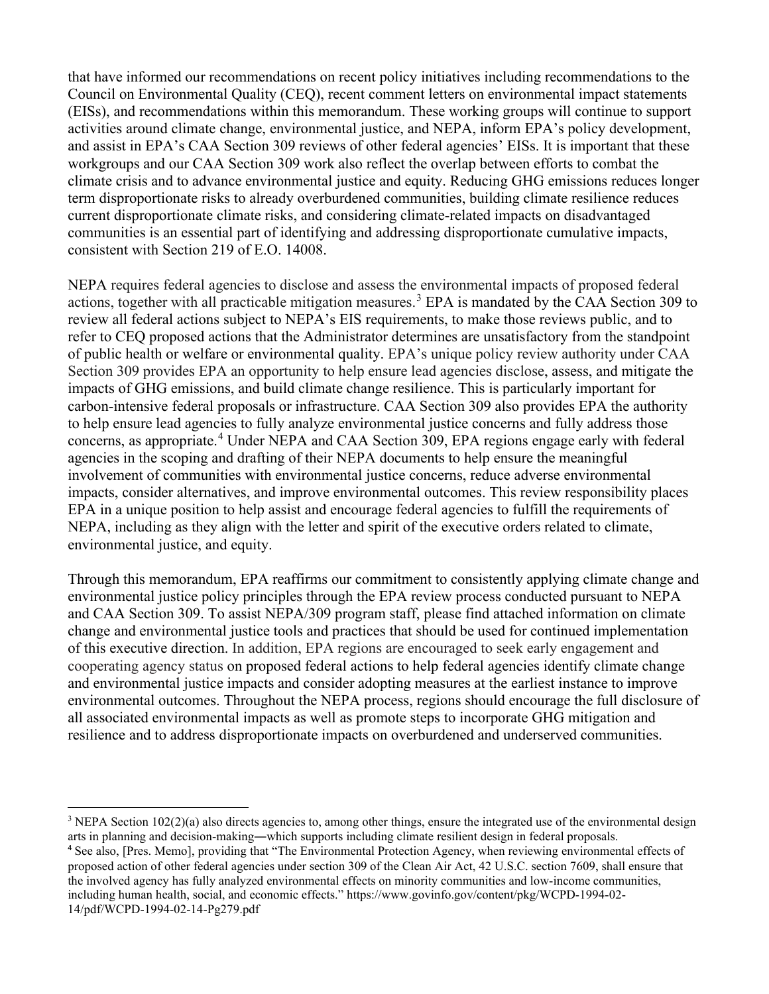that have informed our recommendations on recent policy initiatives including recommendations to the Council on Environmental Quality (CEQ), recent comment letters on environmental impact statements (EISs), and recommendations within this memorandum. These working groups will continue to support activities around climate change, environmental justice, and NEPA, inform EPA's policy development, and assist in EPA's CAA Section 309 reviews of other federal agencies' EISs. It is important that these workgroups and our CAA Section 309 work also reflect the overlap between efforts to combat the climate crisis and to advance environmental justice and equity. Reducing GHG emissions reduces longer term disproportionate risks to already overburdened communities, building climate resilience reduces current disproportionate climate risks, and considering climate-related impacts on disadvantaged communities is an essential part of identifying and addressing disproportionate cumulative impacts, consistent with Section 219 of E.O. 14008.

NEPA requires federal agencies to disclose and assess the environmental impacts of proposed federal actions, together with all practicable mitigation measures. [3](#page-1-0) EPA is mandated by the CAA Section 309 to review all federal actions subject to NEPA's EIS requirements, to make those reviews public, and to refer to CEQ proposed actions that the Administrator determines are unsatisfactory from the standpoint of public health or welfare or environmental quality. EPA's unique policy review authority under CAA Section 309 provides EPA an opportunity to help ensure lead agencies disclose, assess, and mitigate the impacts of GHG emissions, and build climate change resilience. This is particularly important for carbon-intensive federal proposals or infrastructure. CAA Section 309 also provides EPA the authority to help ensure lead agencies to fully analyze environmental justice concerns and fully address those concerns, as appropriate.[4](#page-1-1) Under NEPA and CAA Section 309, EPA regions engage early with federal agencies in the scoping and drafting of their NEPA documents to help ensure the meaningful involvement of communities with environmental justice concerns, reduce adverse environmental impacts, consider alternatives, and improve environmental outcomes. This review responsibility places EPA in a unique position to help assist and encourage federal agencies to fulfill the requirements of NEPA, including as they align with the letter and spirit of the executive orders related to climate, environmental justice, and equity.

Through this memorandum, EPA reaffirms our commitment to consistently applying climate change and environmental justice policy principles through the EPA review process conducted pursuant to NEPA and CAA Section 309. To assist NEPA/309 program staff, please find attached information on climate change and environmental justice tools and practices that should be used for continued implementation of this executive direction. In addition, EPA regions are encouraged to seek early engagement and cooperating agency status on proposed federal actions to help federal agencies identify climate change and environmental justice impacts and consider adopting measures at the earliest instance to improve environmental outcomes. Throughout the NEPA process, regions should encourage the full disclosure of all associated environmental impacts as well as promote steps to incorporate GHG mitigation and resilience and to address disproportionate impacts on overburdened and underserved communities.

<span id="page-1-0"></span><sup>&</sup>lt;sup>3</sup> NEPA Section  $102(2)$ (a) also directs agencies to, among other things, ensure the integrated use of the environmental design arts in planning and decision-making―which supports including climate resilient design in federal proposals.

<span id="page-1-1"></span><sup>4</sup> See also, [Pres. Memo], providing that "The Environmental Protection Agency, when reviewing environmental effects of proposed action of other federal agencies under section 309 of the Clean Air Act, 42 U.S.C. section 7609, shall ensure that the involved agency has fully analyzed environmental effects on minority communities and low-income communities, including human health, social, and economic effects." https://www.govinfo.gov/content/pkg/WCPD-1994-02- 14/pdf/WCPD-1994-02-14-Pg279.pdf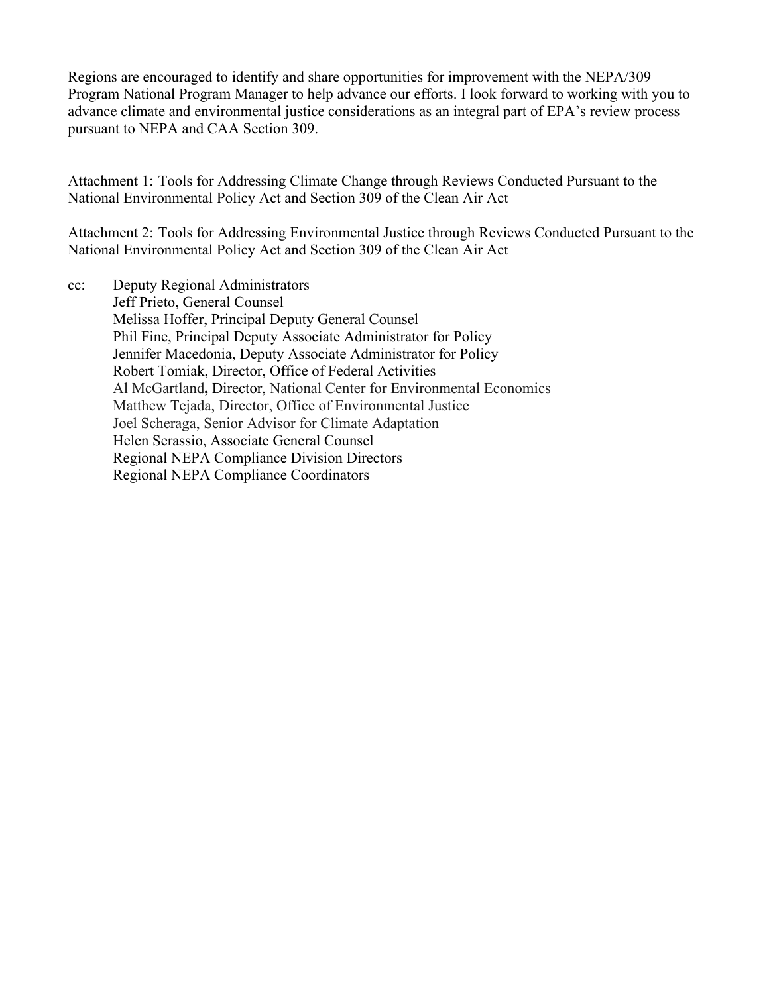Regions are encouraged to identify and share opportunities for improvement with the NEPA/309 Program National Program Manager to help advance our efforts. I look forward to working with you to advance climate and environmental justice considerations as an integral part of EPA's review process pursuant to NEPA and CAA Section 309.

Attachment 1: Tools for Addressing Climate Change through Reviews Conducted Pursuant to the National Environmental Policy Act and Section 309 of the Clean Air Act

Attachment 2: Tools for Addressing Environmental Justice through Reviews Conducted Pursuant to the National Environmental Policy Act and Section 309 of the Clean Air Act

cc: Deputy Regional Administrators Jeff Prieto, General Counsel Melissa Hoffer, Principal Deputy General Counsel Phil Fine, Principal Deputy Associate Administrator for Policy Jennifer Macedonia, Deputy Associate Administrator for Policy Robert Tomiak, Director, Office of Federal Activities Al McGartland**,** Director, National Center for Environmental Economics Matthew Tejada, Director, Office of Environmental Justice Joel Scheraga, Senior Advisor for Climate Adaptation Helen Serassio, Associate General Counsel Regional NEPA Compliance Division Directors Regional NEPA Compliance Coordinators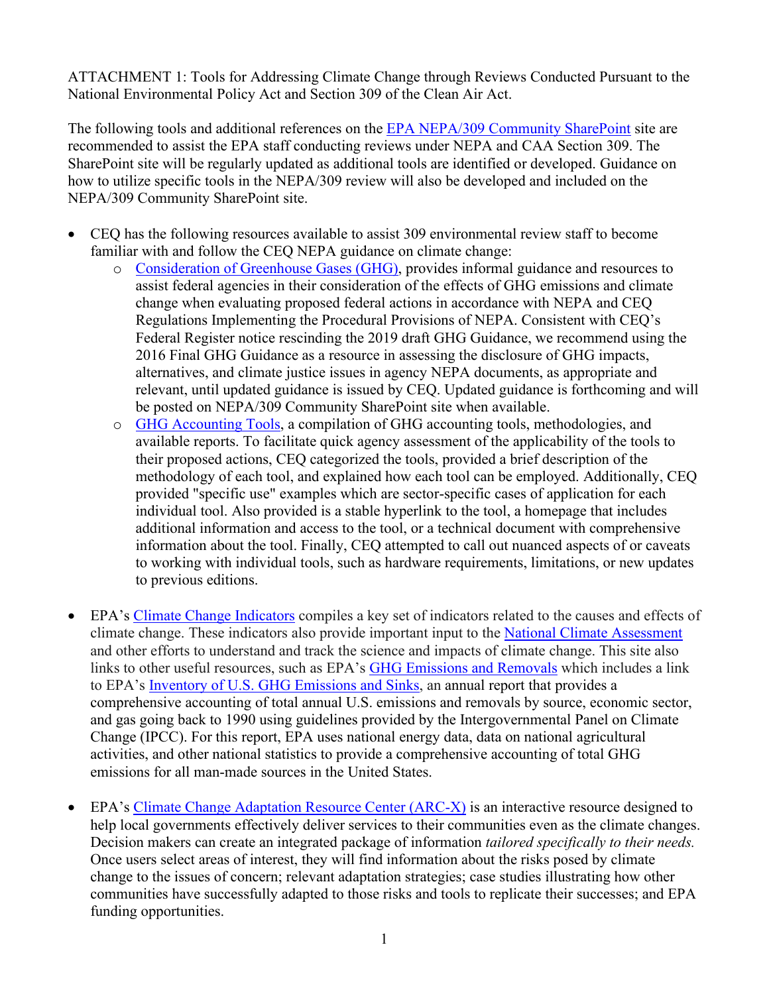ATTACHMENT 1: Tools for Addressing Climate Change through Reviews Conducted Pursuant to the National Environmental Policy Act and Section 309 of the Clean Air Act.

The following tools and additional references on the [EPA NEPA/309 Community SharePoint](https://usepa.sharepoint.com/sites/OECA_Community/NEPA309/SitePages/Home.aspx) site are recommended to assist the EPA staff conducting reviews under NEPA and CAA Section 309. The SharePoint site will be regularly updated as additional tools are identified or developed. Guidance on how to utilize specific tools in the NEPA/309 review will also be developed and included on the NEPA/309 Community SharePoint site.

- CEQ has the following resources available to assist 309 environmental review staff to become familiar with and follow the CEQ NEPA guidance on climate change:
	- o [Consideration of Greenhouse Gases](https://ceq.doe.gov/guidance/ceq_guidance_nepa-ghg.html) (GHG), provides informal guidance and resources to assist federal agencies in their consideration of the effects of GHG emissions and climate change when evaluating proposed federal actions in accordance with NEPA and CEQ Regulations Implementing the Procedural Provisions of NEPA. Consistent with CEQ's Federal Register notice rescinding the 2019 draft GHG Guidance, we recommend using the 2016 Final GHG Guidance as a resource in assessing the disclosure of GHG impacts, alternatives, and climate justice issues in agency NEPA documents, as appropriate and relevant, until updated guidance is issued by CEQ. Updated guidance is forthcoming and will be posted on NEPA/309 Community SharePoint site when available.
	- o [GHG Accounting Tools,](https://ceq.doe.gov/guidance/ghg-accounting-tools.html) a compilation of GHG accounting tools, methodologies, and available reports. To facilitate quick agency assessment of the applicability of the tools to their proposed actions, CEQ categorized the tools, provided a brief description of the methodology of each tool, and explained how each tool can be employed. Additionally, CEQ provided "specific use" examples which are sector-specific cases of application for each individual tool. Also provided is a stable hyperlink to the tool, a homepage that includes additional information and access to the tool, or a technical document with comprehensive information about the tool. Finally, CEQ attempted to call out nuanced aspects of or caveats to working with individual tools, such as hardware requirements, limitations, or new updates to previous editions.
- EPA's [Climate Change Indicators](https://www.epa.gov/climate-indicators) compiles a key set of indicators related to the causes and effects of climate change. These indicators also provide important input to the [National Climate Assessment](https://www.globalchange.gov/nca5) and other efforts to understand and track the science and impacts of climate change. This site also links to other useful resources, such as EPA's GHG [Emissions and Removals](https://www.epa.gov/ghgemissions) which includes a link to EPA's [Inventory of U.S. GHG](https://www.epa.gov/ghgemissions/inventory-us-greenhouse-gas-emissions-and-sinks) Emissions and Sinks, an annual report that provides a comprehensive accounting of total annual U.S. emissions and removals by source, economic sector, and gas going back to 1990 using guidelines provided by the Intergovernmental Panel on Climate Change (IPCC). For this report, EPA uses national energy data, data on national agricultural activities, and other national statistics to provide a comprehensive accounting of total GHG emissions for all man-made sources in the United States.
- EPA's [Climate Change Adaptation Resource Center \(ARC-X\)](https://www.epa.gov/arc-x) is an interactive resource designed to help local governments effectively deliver services to their communities even as the climate changes. Decision makers can create an integrated package of information *tailored specifically to their needs.* Once users select areas of interest, they will find information about the risks posed by climate change to the issues of concern; relevant adaptation strategies; case studies illustrating how other communities have successfully adapted to those risks and tools to replicate their successes; and EPA funding opportunities.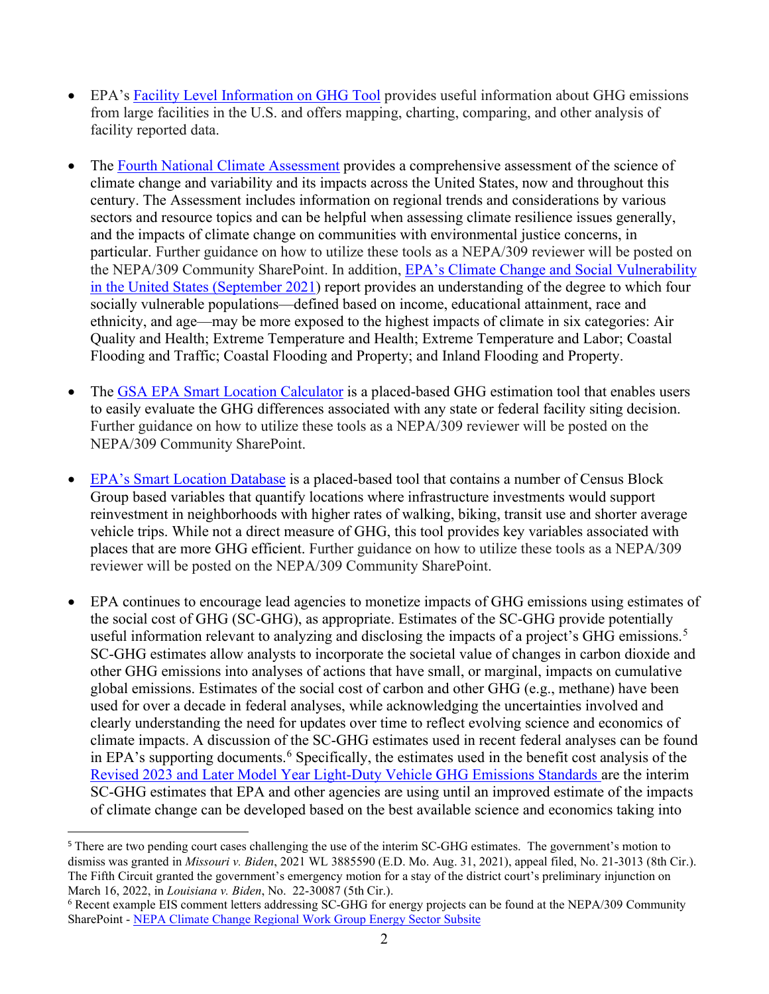- EPA's [Facility Level Information on GHG](https://ghgdata.epa.gov/ghgp/main.do) Tool provides useful information about GHG emissions from large facilities in the U.S. and offers mapping, charting, comparing, and other analysis of facility reported data.
- The [Fourth National Climate Assessment](https://nca2018.globalchange.gov/) provides a comprehensive assessment of the science of climate change and variability and its impacts across the United States, now and throughout this century. The Assessment includes information on regional trends and considerations by various sectors and resource topics and can be helpful when assessing climate resilience issues generally, and the impacts of climate change on communities with environmental justice concerns, in particular. Further guidance on how to utilize these tools as a NEPA/309 reviewer will be posted on the NEPA/309 Community SharePoint. In addition, [EPA's Climate Change and Social Vulnerability](https://www.epa.gov/system/files/documents/2021-09/climate-vulnerability_september-2021_508.pdf)  [in the United States \(September 2021\)](https://www.epa.gov/system/files/documents/2021-09/climate-vulnerability_september-2021_508.pdf) report provides an understanding of the degree to which four socially vulnerable populations—defined based on income, educational attainment, race and ethnicity, and age—may be more exposed to the highest impacts of climate in six categories: Air Quality and Health; Extreme Temperature and Health; Extreme Temperature and Labor; Coastal Flooding and Traffic; Coastal Flooding and Property; and Inland Flooding and Property.
- The [GSA EPA Smart Location Calculator](https://www.slc.gsa.gov/SLC/) is a placed-based GHG estimation tool that enables users to easily evaluate the GHG differences associated with any state or federal facility siting decision. Further guidance on how to utilize these tools as a NEPA/309 reviewer will be posted on the NEPA/309 Community SharePoint.
- [EPA's Smart Location Database](https://www.epa.gov/smartgrowth/smart-location-mapping) is a placed-based tool that contains a number of Census Block Group based variables that quantify locations where infrastructure investments would support reinvestment in neighborhoods with higher rates of walking, biking, transit use and shorter average vehicle trips. While not a direct measure of GHG, this tool provides key variables associated with places that are more GHG efficient. Further guidance on how to utilize these tools as a NEPA/309 reviewer will be posted on the NEPA/309 Community SharePoint.
- EPA continues to encourage lead agencies to monetize impacts of GHG emissions using estimates of the social cost of GHG (SC-GHG), as appropriate. Estimates of the SC-GHG provide potentially useful information relevant to analyzing and disclosing the impacts of a project's GHG emissions.<sup>[5](#page-4-0)</sup> SC-GHG estimates allow analysts to incorporate the societal value of changes in carbon dioxide and other GHG emissions into analyses of actions that have small, or marginal, impacts on cumulative global emissions. Estimates of the social cost of carbon and other GHG (e.g., methane) have been used for over a decade in federal analyses, while acknowledging the uncertainties involved and clearly understanding the need for updates over time to reflect evolving science and economics of climate impacts. A discussion of the SC-GHG estimates used in recent federal analyses can be found in EPA's supporting documents. [6](#page-4-1) Specifically, the estimates used in the benefit cost analysis of the [Revised 2023 and Later Model Year Light-Duty Vehicle GHG Emissions Standards](https://www.epa.gov/regulations-emissions-vehicles-and-engines/proposed-rule-revise-existing-national-ghg-emissions) are the interim SC-GHG estimates that EPA and other agencies are using until an improved estimate of the impacts of climate change can be developed based on the best available science and economics taking into

<span id="page-4-0"></span><sup>&</sup>lt;sup>5</sup> There are two pending court cases challenging the use of the interim SC-GHG estimates. The government's motion to dismiss was granted in *Missouri v. Biden*, 2021 WL 3885590 (E.D. Mo. Aug. 31, 2021), appeal filed, No. 21-3013 (8th Cir.). The Fifth Circuit granted the government's emergency motion for a stay of the district court's preliminary injunction on March 16, 2022, in *Louisiana v. Biden*, No. 22-30087 (5th Cir.).

<span id="page-4-1"></span><sup>6</sup> Recent example EIS comment letters addressing SC-GHG for energy projects can be found at the NEPA/309 Community SharePoint - [NEPA Climate Change Regional Work Group Energy Sector Subsite](https://usepa.sharepoint.com/sites/OECA_Community/NEPA309/ClimateWorkgroup/SitePages/Energy.aspx?source=https%3a//usepa.sharepoint.com/sites/OECA_Community/NEPA309/ClimateWorkgroup/SitePages/Forms/ByAuthor.aspx)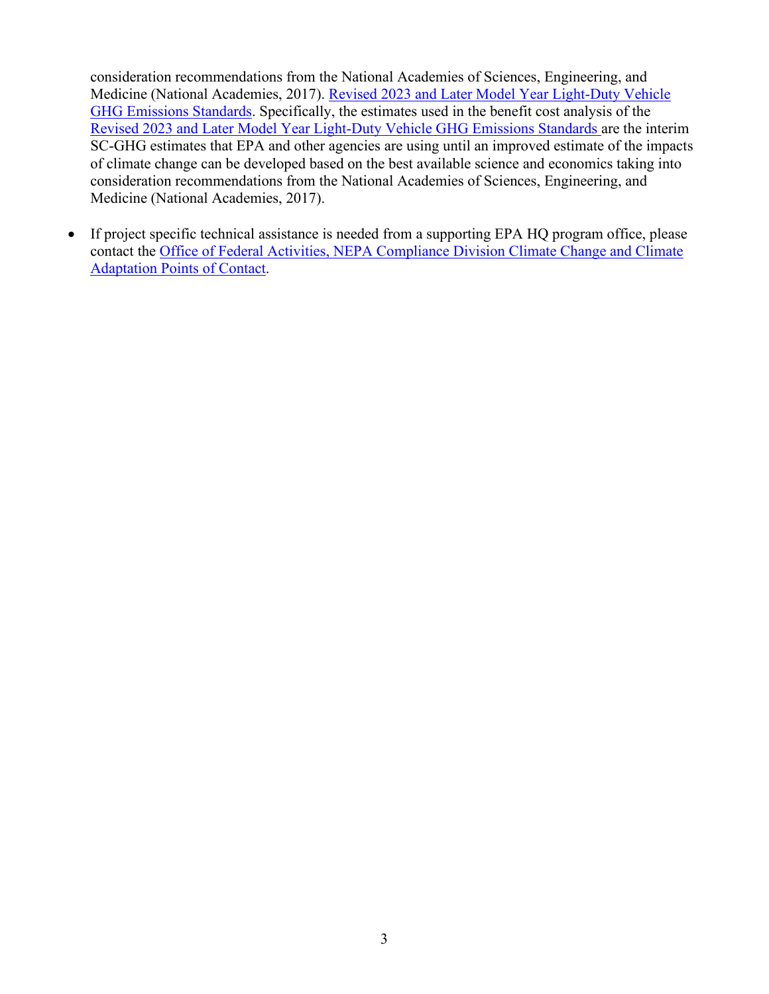consideration recommendations from the National Academies of Sciences, Engineering, and Medicine (National Academies, 2017). Revised 2023 and Later Model Year Light-Duty Vehicle GHG Emissions Standards. Specifically, the estimates used in the benefit cost analysis of the [Revised 2023 and Later Model Year Light-Duty Vehicle GHG Emissions Standards](https://www.epa.gov/regulations-emissions-vehicles-and-engines/proposed-rule-revise-existing-national-ghg-emissions) are the interim SC-GHG estimates that EPA and other agencies are using until an improved estimate of the impacts of climate change can be developed based on the best available science and economics taking into consideration recommendations from the National Academies of Sciences, Engineering, and Medicine (National Academies, 2017).

• If project specific technical assistance is needed from a supporting EPA HQ program office, please contact the [Office of Federal Activities, NEPA Compliance Division Climate Change and Climate](https://usepa.sharepoint.com/sites/OECA_Community/NEPA309/SitePages/FAL%20Contacts.aspx)  [Adaptation Points of Contact.](https://usepa.sharepoint.com/sites/OECA_Community/NEPA309/SitePages/FAL%20Contacts.aspx)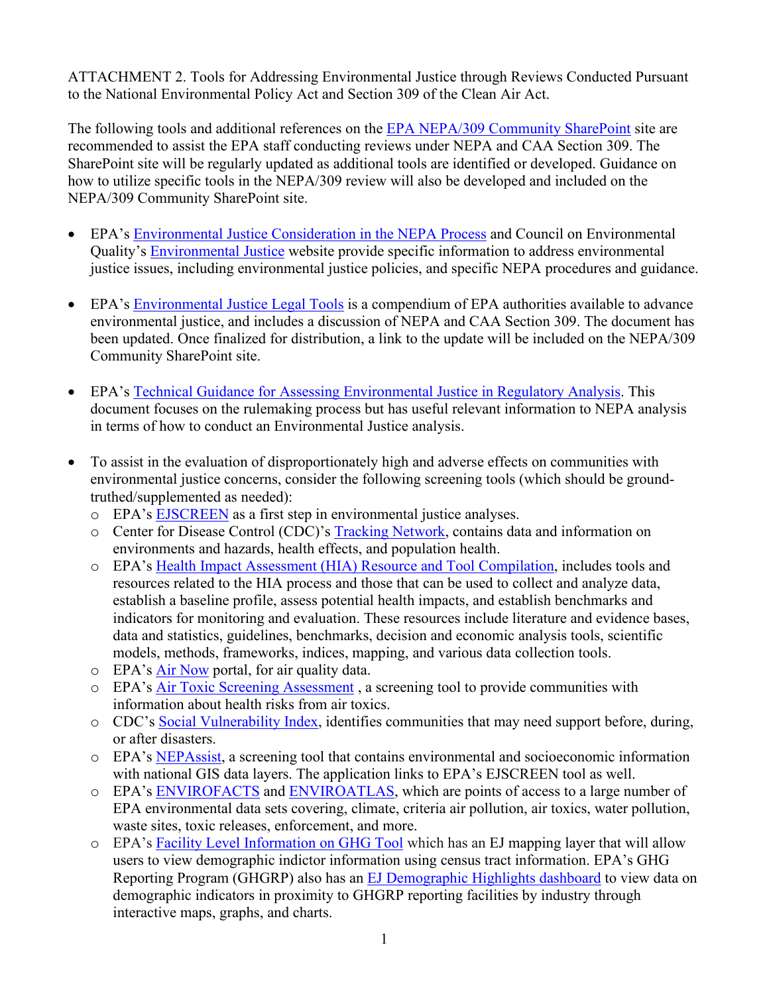ATTACHMENT 2. Tools for Addressing Environmental Justice through Reviews Conducted Pursuant to the National Environmental Policy Act and Section 309 of the Clean Air Act.

The following tools and additional references on the [EPA NEPA/309 Community SharePoint](https://usepa.sharepoint.com/sites/OECA_Community/NEPA309/SitePages/Home.aspx) site are recommended to assist the EPA staff conducting reviews under NEPA and CAA Section 309. The SharePoint site will be regularly updated as additional tools are identified or developed. Guidance on how to utilize specific tools in the NEPA/309 review will also be developed and included on the NEPA/309 Community SharePoint site.

- EPA's [Environmental Justice Consideration in the NEPA Process](https://www.epa.gov/environmentaljustice/environmental-justice-and-national-environmental-policy-act) and Council on Environmental Quality's [Environmental Justice](https://ceq.doe.gov/nepa-practice/justice.html) website provide specific information to address environmental justice issues, including environmental justice policies, and specific NEPA procedures and guidance.
- EPA's [Environmental Justice Legal Tools](https://www.epa.gov/sites/default/files/2015-02/documents/ej-legal-tools.pdf) is a compendium of EPA authorities available to advance environmental justice, and includes a discussion of NEPA and CAA Section 309. The document has been updated. Once finalized for distribution, a link to the update will be included on the NEPA/309 Community SharePoint site.
- EPA's [Technical Guidance for Assessing Environmental Justice in Regulatory Analysis.](https://www.epa.gov/environmentaljustice/technical-guidance-assessing-environmental-justice-regulatory-analysis) This document focuses on the rulemaking process but has useful relevant information to NEPA analysis in terms of how to conduct an Environmental Justice analysis.
- To assist in the evaluation of disproportionately high and adverse effects on communities with environmental justice concerns, consider the following screening tools (which should be groundtruthed/supplemented as needed):
	- o EPA's [EJSCREEN](https://www.epa.gov/ejscreen) as a first step in environmental justice analyses.
	- o Center for Disease Control (CDC)'s [Tracking Network,](https://ephtracking.cdc.gov/) contains data and information on environments and hazards, health effects, and population health.
	- o EPA's [Health Impact Assessment \(HIA\) Resource and Tool Compilation,](https://www.epa.gov/healthresearch/health-impact-assessment-hia-resource-and-tool-compilation) includes tools and resources related to the HIA process and those that can be used to collect and analyze data, establish a baseline profile, assess potential health impacts, and establish benchmarks and indicators for monitoring and evaluation. These resources include literature and evidence bases, data and statistics, guidelines, benchmarks, decision and economic analysis tools, scientific models, methods, frameworks, indices, mapping, and various data collection tools.
	- o EPA's [Air Now](https://www.airnow.gov/) portal, for air quality data.
	- o EPA's [Air Toxic Screening Assessment](https://www.epa.gov/AirToxScreen) , a screening tool to provide communities with information about health risks from air toxics.
	- o CDC's [Social Vulnerability Index,](https://www.atsdr.cdc.gov/placeandhealth/svi/index.html) identifies communities that may need support before, during, or after disasters.
	- o EPA's [NEPAssist,](https://nepassisttool.epa.gov/nepassist/nepamap.aspx) a screening tool that contains environmental and socioeconomic information with national GIS data layers. The application links to EPA's EJSCREEN tool as well.
	- o EPA's [ENVIROFACTS](https://enviro.epa.gov/) and [ENVIROATLAS,](https://www.epa.gov/enviroatlas) which are points of access to a large number of EPA environmental data sets covering, climate, criteria air pollution, air toxics, water pollution, waste sites, toxic releases, enforcement, and more.
	- o EPA's [Facility Level Information on GHG](https://ghgdata.epa.gov/ghgp/main.do) Tool which has an EJ mapping layer that will allow users to view demographic indictor information using census tract information. EPA's GHG Reporting Program (GHGRP) also has an [EJ Demographic Highlights dashboard](https://edap.epa.gov/public/extensions/GHGRP-Demographic-Data-Highlights/GHGRP-Demographic-Data-Highlights.html) to view data on demographic indicators in proximity to GHGRP reporting facilities by industry through interactive maps, graphs, and charts.